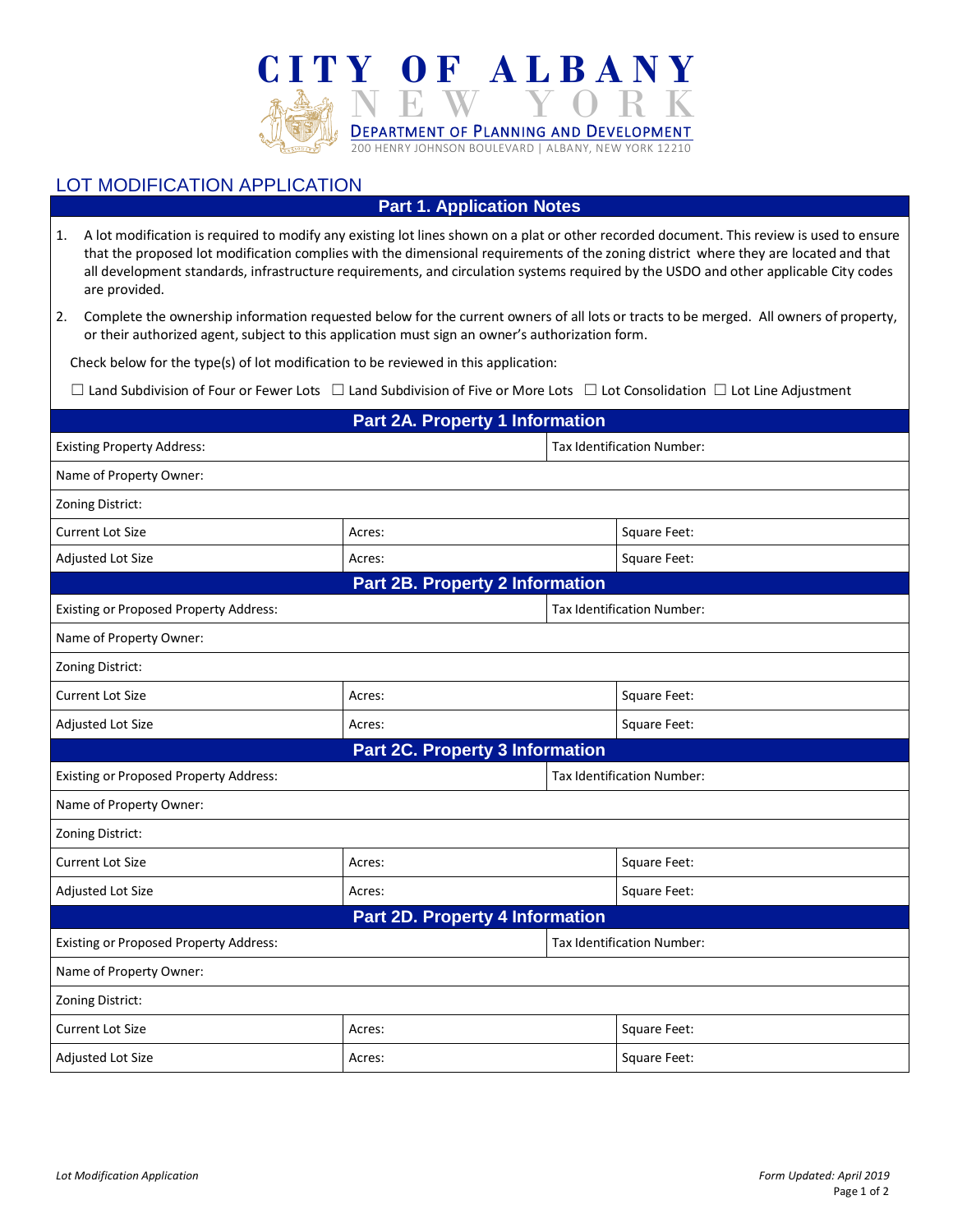

## LOT MODIFICATION APPLICATION

**Part 1. Application Notes**

- 1. A lot modification is required to modify any existing lot lines shown on a plat or other recorded document. This review is used to ensure that the proposed lot modification complies with the dimensional requirements of the zoning district where they are located and that all development standards, infrastructure requirements, and circulation systems required by the USDO and other applicable City codes are provided.
- 2. Complete the ownership information requested below for the current owners of all lots or tracts to be merged. All owners of property, or their authorized agent, subject to this application must sign an owner's authorization form.

Check below for the type(s) of lot modification to be reviewed in this application:

☐ Land Subdivision of Four or Fewer Lots ☐ Land Subdivision of Five or More Lots ☐ Lot Consolidation ☐ Lot Line Adjustment

|                                               | <b>Part 2A. Property 1 Information</b> |                                   |              |  |
|-----------------------------------------------|----------------------------------------|-----------------------------------|--------------|--|
| <b>Existing Property Address:</b>             |                                        | Tax Identification Number:        |              |  |
| Name of Property Owner:                       |                                        |                                   |              |  |
| Zoning District:                              |                                        |                                   |              |  |
| <b>Current Lot Size</b>                       | Acres:                                 |                                   | Square Feet: |  |
| Adjusted Lot Size                             | Acres:                                 |                                   | Square Feet: |  |
|                                               | <b>Part 2B. Property 2 Information</b> |                                   |              |  |
| <b>Existing or Proposed Property Address:</b> |                                        | <b>Tax Identification Number:</b> |              |  |
| Name of Property Owner:                       |                                        |                                   |              |  |
| Zoning District:                              |                                        |                                   |              |  |
| <b>Current Lot Size</b>                       | Acres:                                 |                                   | Square Feet: |  |
| Adjusted Lot Size                             | Acres:                                 |                                   | Square Feet: |  |
|                                               | <b>Part 2C. Property 3 Information</b> |                                   |              |  |
| <b>Existing or Proposed Property Address:</b> |                                        | Tax Identification Number:        |              |  |
| Name of Property Owner:                       |                                        |                                   |              |  |
| Zoning District:                              |                                        |                                   |              |  |
| <b>Current Lot Size</b>                       | Acres:                                 |                                   | Square Feet: |  |
| Adjusted Lot Size                             | Acres:                                 |                                   | Square Feet: |  |
|                                               | <b>Part 2D. Property 4 Information</b> |                                   |              |  |
| <b>Existing or Proposed Property Address:</b> |                                        | Tax Identification Number:        |              |  |
| Name of Property Owner:                       |                                        |                                   |              |  |
| Zoning District:                              |                                        |                                   |              |  |
| <b>Current Lot Size</b>                       | Acres:                                 |                                   | Square Feet: |  |
| Adjusted Lot Size                             | Acres:                                 |                                   | Square Feet: |  |